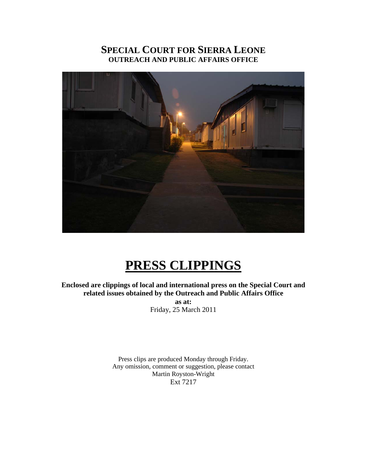# **SPECIAL COURT FOR SIERRA LEONE OUTREACH AND PUBLIC AFFAIRS OFFICE**



# **PRESS CLIPPINGS**

**Enclosed are clippings of local and international press on the Special Court and related issues obtained by the Outreach and Public Affairs Office as at:** 

Friday, 25 March 2011

Press clips are produced Monday through Friday. Any omission, comment or suggestion, please contact Martin Royston-Wright Ext 7217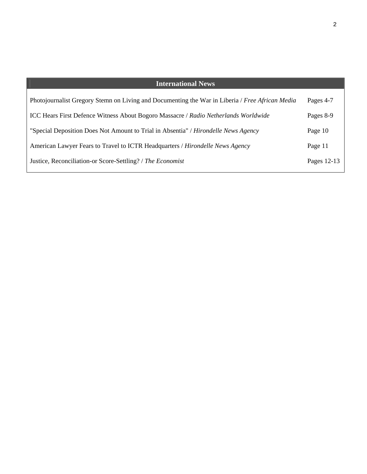# **International News**

| Photojournalist Gregory Stemn on Living and Documenting the War in Liberia / Free African Media | Pages 4-7   |
|-------------------------------------------------------------------------------------------------|-------------|
| <b>ICC Hears First Defence Witness About Bogoro Massacre / Radio Netherlands Worldwide</b>      | Pages 8-9   |
| "Special Deposition Does Not Amount to Trial in Absentia" / Hirondelle News Agency              | Page 10     |
| American Lawyer Fears to Travel to ICTR Headquarters / Hirondelle News Agency                   | Page 11     |
| Justice, Reconciliation-or Score-Settling? / The Economist                                      | Pages 12-13 |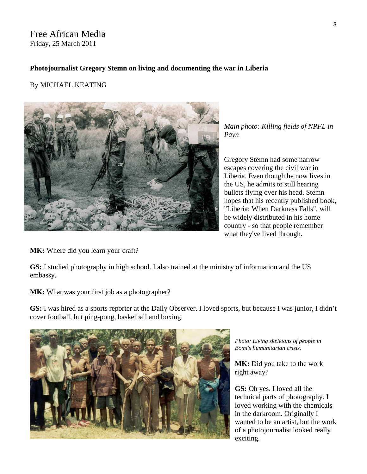# Free African Media Friday, 25 March 2011

## **Photojournalist Gregory Stemn on living and documenting the war in Liberia**

## By MICHAEL KEATING



*Main photo: Killing fields of NPFL in Payn*

Gregory Stemn had some narrow escapes covering the civil war in Liberia. Even though he now lives in the US, he admits to still hearing bullets flying over his head. Stemn hopes that his recently published b ook, "Liberia: When Darkness Falls", will be widely distributed in his home country - so that people remember what they've lived through.

**MK:** Where did you learn your craft?

**GS:** I studied photography in high school. I also trained at the ministry of information and the US embassy.

**MK:** What was your first job as a photographer?

**GS:** I was hired as a sports reporter at the Daily Observer. I loved sports, but because I was junior, I didn't cover football, but ping-pong, basketball and boxing.



*Photo: Living skeletons of people in Bomi's humanitarian crisis.*

**MK:** Did you take to the work right away?

wanted to be an artist, but the work **GS:** Oh yes. I loved all the technical parts of photography. I loved working with the chemicals in the darkroom. Originally I of a photojournalist looked really exciting.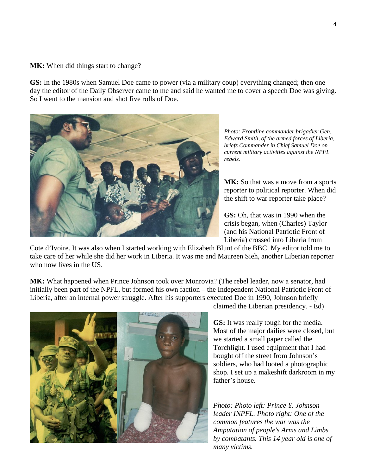**MK:** When did things start to change?

**GS:** In the 1980s when Samuel Doe came to power (via a military coup) everything changed; then one day the editor of the Daily Observer came to me and said he wanted me to cover a speech Doe was giving. So I went to the mansion and shot five rolls of Doe.



*Photo: Frontline commander brigadier Gen. Edward Smith, of the armed forces of Liberia, briefs Commander in Chief Samuel Doe on current military activities against the NPFL rebels.* 

MK: So that was a move from a sports reporter to political reporter. When d id the shift to war reporter take place?

**GS:** Oh, that was in 1990 when the crisis began, when (Charles) Taylor (and his National Patriotic Front of Liberia) crossed into Liberia from

take care of her while she did her work in Liberia. It was me and Maureen Sieh, another Liberian reporter Cote d'Ivoire. It was also when I started working with Elizabeth Blunt of the BBC. My editor told me to who now lives in the US.

**MK:** What happened when Prince Johnson took over Monrovia? (The rebel leader, now a senator, had initially been part of the NPFL, but formed his own faction – the Independent National Patriotic Front of Liberia, after an internal power struggle. After his supporters executed Doe in 1990, Johnson briefly



claimed the Liberian presidency. - Ed)

**GS:** It was really tough for the media. Most of the major dailies were closed, but we started a small paper called the Torchlight. I used equipment that I had bought off the street from Johnson's soldiers, who had looted a photographic shop. I set up a makeshift darkroom in my father's house.

*Photo: Photo left: Prince Y. Johnson leader INPFL. Photo right: One of the common features the war was the Amputation of people's Arms and Limbs by combatants. This 14 year old is one of many victims.*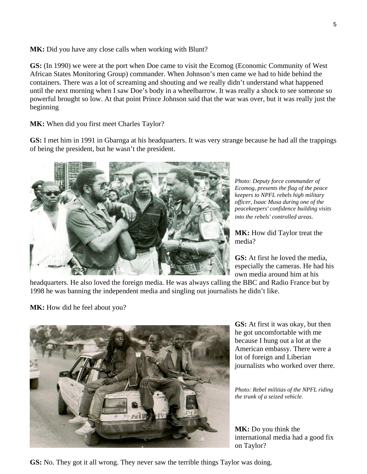MK: Did you have any close calls when working with Blunt?

**GS:** (In 1990) we were at the port when Doe came to visit the Ecomog (Economic Community of West African States Monitoring Group) commander. When Johnson's men came we had to hide behind the containers. There was a lot of screaming and shouting and we really didn't understand what happened until the next morning when I saw Doe's body in a wheelbarrow. It was really a shock to see someone so powerful brought so low. At that point Prince Johnson said that the war was over, but it was really just the beginning

**MK:** When did you first meet Charles Taylor?

**GS:** I met him in 1991 in Gbarnga at his headquarters. It was very strange because he had all the trappings of being the president, but he wasn't the president.



*Photo: Deputy force commander of Ecomog, presents the flag of the peace keepers to NPFL rebels high military officer, Isaac Musa during one of the peacekeepers' confidence building visits into the rebels' controlled areas.*

**MK:** How did Taylor treat the media?

**GS:** At first he loved the media, especially the cameras. He had his own media around him at his

headquarters. He also loved the foreign media. He was always calling the BBC and Radio France but by 1998 he was banning the independent media and singling out journalists he didn't like.

**MK:** How did he feel about you?



**GS:** At first it was okay, but then he got uncomfortable with me because I hung out a lot at the American embassy. There were a lot of foreign and Liberian journalists who worked over there.

*Photo: Rebel militias of the NPFL riding the trunk of a seized vehicle.*

**MK:** Do you think the international media had a good fix on Taylor?

**GS:** No. They got it all wrong. They never saw the terrible things Taylor was doing.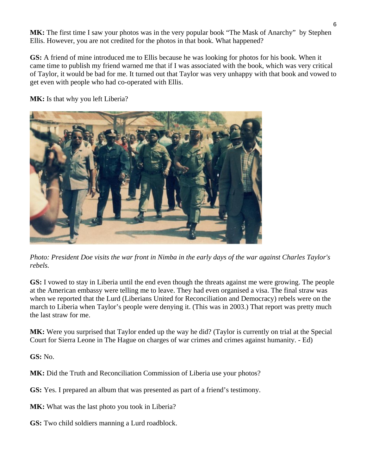**MK:** The first time I saw your photos was in the very popular book "The Mask of Anarchy" by Stephen Ellis. However, you are not credited for the photos in that book. What happened?

**GS:** A friend of mine introduced me to Ellis because he was looking for photos for his book. When it came time to publish my friend warned me that if I was associated with the book, which was very critical of Taylor, it would be bad for me. It turned out that Taylor was very unhappy with that book and vowed to get even with people who had co-operated with Ellis.

**MK:** Is that why you left Liberia?

*Photo: President Doe visits the war front in Nimba in the early days of the war against Charles Taylor's rebels.*

**GS:** I vowed to stay in Liberia until the end even though the threats against me were growing. The people at the American embassy were telling me to leave. They had even organised a visa. The final straw was when we reported that the Lurd (Liberians United for Reconciliation and Democracy) rebels were on the march to Liberia when Taylor's people were denying it. (This was in 2003.) That report was pretty much the last straw for me.

**MK:** Were you surprised that Taylor ended up the way he did? (Taylor is currently on trial at the Special Court for Sierra Leone in The Hague on charges of war crimes and crimes against humanity. - Ed)

**GS:** No.

**MK:** Did the Truth and Reconciliation Commission of Liberia use your photos?

**GS:** Yes. I prepared an album that was presented as part of a friend's testimony.

**MK:** What was the last photo you took in Liberia?

**GS:** Two child soldiers manning a Lurd roadblock.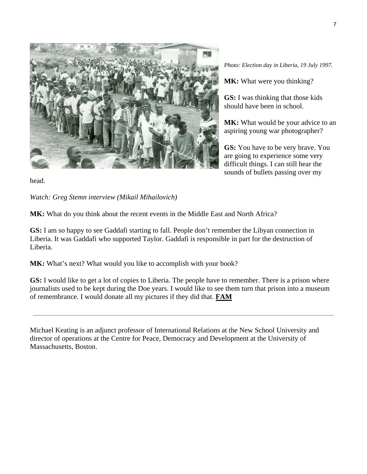

*Photo: Election day in Liberia, 19 July 1997.*

**MK:** What were you thinking?

**GS:** I was thinking that those kids should have been in school.

**MK:** What would be your advice to an aspiring young war photographer?

**GS:** You have to be very brave. You are going to experience some very difficult things. I can still hear the sounds of bullets passing over my

head.

*Watch: Greg Stemn interview (Mikail Mihailovich)*

**MK:** What do you think about the recent events in the Middle East and North Africa?

**GS:** I am so happy to see Gaddafi starting to fall. People don't remember the Libyan connection in Liberia. It was Gaddafi who supported Taylor. Gaddafi is responsible in part for the destruction of Liberia.

MK: What's next? What would you like to accomplish with your book?

**GS:** I would like to get a lot of copies to Liberia. The people have to remember. There is a prison where journalists used to be kept during the Doe years. I would like to see them turn that prison into a museum of remembrance. I would donate all my pictures if they did that. **FAM**

Michael Keating is an adjunct professor of International Relations at the New School University and director of operations at the Centre for Peace, Democracy and Development at the University of Massachusetts, Boston.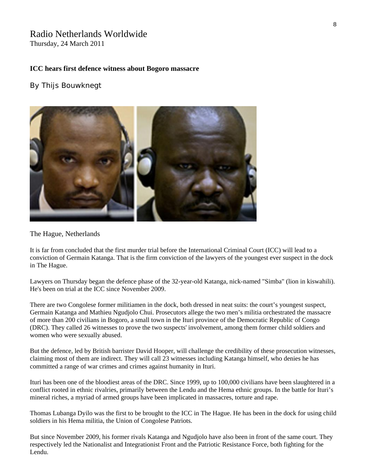# Radio Netherlands Worldwide

Thursday, 24 March 2011

#### **ICC hears first defence witness about Bogoro massacre**

## *By Thijs Bouwknegt*



The Hague, Netherlands

It is far from concluded that the first murder trial before the International Criminal Court (ICC) will lead to a conviction of Germain Katanga. That is the firm conviction of the lawyers of the youngest ever suspect in the dock in The Hague.

Lawyers on Thursday began the defence phase of the 32-year-old Katanga, nick-named "Simba" (lion in kiswahili). He's been on trial at the ICC since November 2009.

There are two Congolese former militiamen in the dock, both dressed in neat suits: the court's youngest suspect, Germain Katanga and Mathieu Ngudjolo Chui. Prosecutors allege the two men's militia orchestrated the massacre of more than 200 civilians in Bogoro, a small town in the Ituri province of the Democratic Republic of Congo (DRC). They called 26 witnesses to prove the two suspects' involvement, among them former child soldiers and women who were sexually abused.

But the defence, led by British barrister David Hooper, will challenge the credibility of these prosecution witnesses, claiming most of them are indirect. They will call 23 witnesses including Katanga himself, who denies he has committed a range of war crimes and crimes against humanity in Ituri.

Ituri has been one of the bloodiest areas of the DRC. Since 1999, up to 100,000 civilians have been slaughtered in a conflict rooted in ethnic rivalries, primarily between the Lendu and the Hema ethnic groups. In the battle for Ituri's mineral riches, a myriad of armed groups have been implicated in massacres, torture and rape.

Thomas Lubanga Dyilo was the first to be brought to the ICC in The Hague. He has been in the dock for using child soldiers in his Hema militia, the Union of Congolese Patriots.

But since November 2009, his former rivals Katanga and Ngudjolo have also been in front of the same court. They respectively led the Nationalist and Integrationist Front and the Patriotic Resistance Force, both fighting for the Lendu.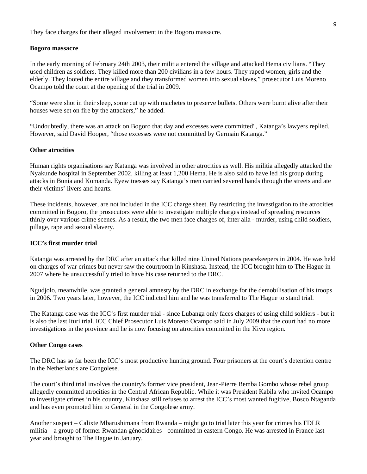They face charges for their alleged involvement in the Bogoro massacre.

#### **Bogoro massacre**

In the early morning of February 24th 2003, their militia entered the village and attacked Hema civilians. "They used children as soldiers. They killed more than 200 civilians in a few hours. They raped women, girls and the elderly. They looted the entire village and they transformed women into sexual slaves," prosecutor Luis Moreno Ocampo told the court at the opening of the trial in 2009.

"Some were shot in their sleep, some cut up with machetes to preserve bullets. Others were burnt alive after their houses were set on fire by the attackers," he added.

"Undoubtedly, there was an attack on Bogoro that day and excesses were committed", Katanga's lawyers replied. However, said David Hooper, "those excesses were not committed by Germain Katanga."

#### **Other atrocities**

Human rights organisations say Katanga was involved in other atrocities as well. His militia allegedly attacked the Nyakunde hospital in September 2002, killing at least 1,200 Hema. He is also said to have led his group during attacks in Bunia and Komanda. Eyewitnesses say Katanga's men carried severed hands through the streets and ate their victims' livers and hearts.

These incidents, however, are not included in the ICC charge sheet. By restricting the investigation to the atrocities committed in Bogoro, the prosecutors were able to investigate multiple charges instead of spreading resources thinly over various crime scenes. As a result, the two men face charges of, inter alia - murder, using child soldiers, pillage, rape and sexual slavery.

#### **ICC's first murder trial**

Katanga was arrested by the DRC after an attack that killed nine United Nations peacekeepers in 2004. He was held on charges of war crimes but never saw the courtroom in Kinshasa. Instead, the ICC brought him to The Hague in 2007 where he unsuccessfully tried to have his case returned to the DRC.

Ngudjolo, meanwhile, was granted a general amnesty by the DRC in exchange for the demobilisation of his troops in 2006. Two years later, however, the ICC indicted him and he was transferred to The Hague to stand trial.

The Katanga case was the ICC's first murder trial - since Lubanga only faces charges of using child soldiers - but it is also the last Ituri trial. ICC Chief Prosecutor Luis Moreno Ocampo said in July 2009 that the court had no more investigations in the province and he is now focusing on atrocities committed in the Kivu region.

#### **Other Congo cases**

The DRC has so far been the ICC's most productive hunting ground. Four prisoners at the court's detention centre in the Netherlands are Congolese.

The court's third trial involves the country's former vice president, Jean-Pierre Bemba Gombo whose rebel group allegedly committed atrocities in the Central African Republic. While it was President Kabila who invited Ocampo to investigate crimes in his country, Kinshasa still refuses to arrest the ICC's most wanted fugitive, Bosco Ntaganda and has even promoted him to General in the Congolese army.

Another suspect – Calixte Mbarushimana from Rwanda – might go to trial later this year for crimes his FDLR militia – a group of former Rwandan génocidaires - committed in eastern Congo. He was arrested in France last year and brought to The Hague in January.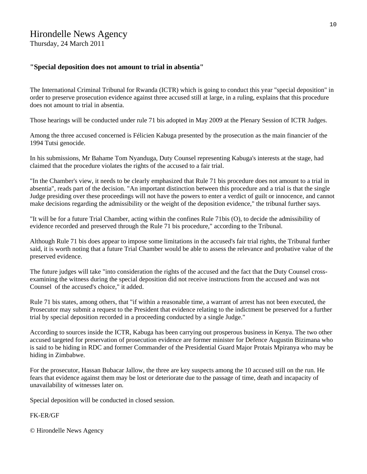# Hirondelle News Agency

Thursday, 24 March 2011

## **"Special deposition does not amount to trial in absentia"**

The International Criminal Tribunal for Rwanda (ICTR) which is going to conduct this year "special deposition" in order to preserve prosecution evidence against three accused still at large, in a ruling, explains that this procedure does not amount to trial in absentia.

Those hearings will be conducted under rule 71 bis adopted in May 2009 at the Plenary Session of ICTR Judges.

Among the three accused concerned is Félicien Kabuga presented by the prosecution as the main financier of the 1994 Tutsi genocide.

In his submissions, Mr Bahame Tom Nyanduga, Duty Counsel representing Kabuga's interests at the stage, had claimed that the procedure violates the rights of the accused to a fair trial.

"In the Chamber's view, it needs to be clearly emphasized that Rule 71 bis procedure does not amount to a trial in absentia", reads part of the decision. "An important distinction between this procedure and a trial is that the single Judge presiding over these proceedings will not have the powers to enter a verdict of guilt or innocence, and cannot make decisions regarding the admissibility or the weight of the deposition evidence," the tribunal further says.

"It will be for a future Trial Chamber, acting within the confines Rule 71bis (O), to decide the admissibility of evidence recorded and preserved through the Rule 71 bis procedure," according to the Tribunal.

Although Rule 71 bis does appear to impose some limitations in the accused's fair trial rights, the Tribunal further said, it is worth noting that a future Trial Chamber would be able to assess the relevance and probative value of the preserved evidence.

The future judges will take "into consideration the rights of the accused and the fact that the Duty Counsel crossexamining the witness during the special deposition did not receive instructions from the accused and was not Counsel of the accused's choice," it added.

Rule 71 bis states, among others, that "if within a reasonable time, a warrant of arrest has not been executed, the Prosecutor may submit a request to the President that evidence relating to the indictment be preserved for a further trial by special deposition recorded in a proceeding conducted by a single Judge."

According to sources inside the ICTR, Kabuga has been carrying out prosperous business in Kenya. The two other accused targeted for preservation of prosecution evidence are former minister for Defence Augustin Bizimana who is said to be hiding in RDC and former Commander of the Presidential Guard Major Protais Mpiranya who may be hiding in Zimbabwe.

For the prosecutor, Hassan Bubacar Jallow, the three are key suspects among the 10 accused still on the run. He fears that evidence against them may be lost or deteriorate due to the passage of time, death and incapacity of unavailability of witnesses later on.

Special deposition will be conducted in closed session.

#### FK-ER/GF

© Hirondelle News Agency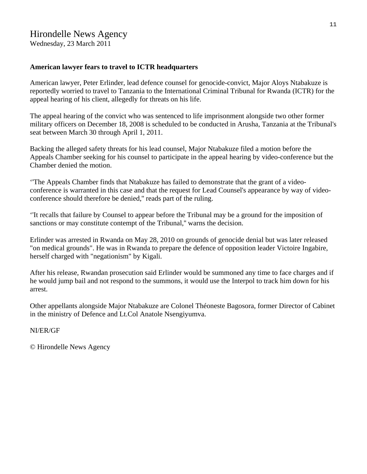# Hirondelle News Agency

Wednesday, 23 March 2011

### **American lawyer fears to travel to ICTR headquarters**

American lawyer, Peter Erlinder, lead defence counsel for genocide-convict, Major Aloys Ntabakuze is reportedly worried to travel to Tanzania to the International Criminal Tribunal for Rwanda (ICTR) for the appeal hearing of his client, allegedly for threats on his life.

The appeal hearing of the convict who was sentenced to life imprisonment alongside two other former military officers on December 18, 2008 is scheduled to be conducted in Arusha, Tanzania at the Tribunal's seat between March 30 through April 1, 2011.

Backing the alleged safety threats for his lead counsel, Major Ntabakuze filed a motion before the Appeals Chamber seeking for his counsel to participate in the appeal hearing by video-conference but the Chamber denied the motion.

''The Appeals Chamber finds that Ntabakuze has failed to demonstrate that the grant of a videoconference is warranted in this case and that the request for Lead Counsel's appearance by way of videoconference should therefore be denied,'' reads part of the ruling.

''It recalls that failure by Counsel to appear before the Tribunal may be a ground for the imposition of sanctions or may constitute contempt of the Tribunal,'' warns the decision.

Erlinder was arrested in Rwanda on May 28, 2010 on grounds of genocide denial but was later released "on medical grounds". He was in Rwanda to prepare the defence of opposition leader Victoire Ingabire, herself charged with "negationism" by Kigali.

After his release, Rwandan prosecution said Erlinder would be summoned any time to face charges and if he would jump bail and not respond to the summons, it would use the Interpol to track him down for his arrest.

Other appellants alongside Major Ntabakuze are Colonel Théoneste Bagosora, former Director of Cabinet in the ministry of Defence and Lt.Col Anatole Nsengiyumva.

NI/ER/GF

© Hirondelle News Agency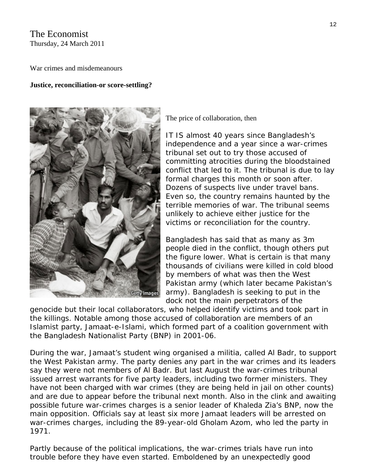# The Economist Thursday, 24 March 2011

War crimes and misdemeanours

#### **Justice, reconciliation-or score-settling?**



The price of collaboration, then

IT IS almost 40 years since Bangladesh's independence and a year since a war-crimes tribunal set out to try those accused of committing atrocities during the bloodstained conflict that led to it. The tribunal is due to lay formal charges this month or soon after. Dozens of suspects live under travel bans. Even so, the country remains haunted by the terrible memories of war. The tribunal seems unlikely to achieve either justice for the victims or reconciliation for the country.

Bangladesh has said that as many as 3m people died in the conflict, though others put the figure lower. What is certain is that many thousands of civilians were killed in cold blood by members of what was then the West Pakistan army (which later became Pakistan's army). Bangladesh is seeking to put in the dock not the main perpetrators of the

genocide but their local collaborators, who helped identify victims and took part in the killings. Notable among those accused of collaboration are members of an Islamist party, Jamaat-e-Islami, which formed part of a coalition government with the Bangladesh Nationalist Party (BNP) in 2001-06.

During the war, Jamaat's student wing organised a militia, called Al Badr, to support the West Pakistan army. The party denies any part in the war crimes and its leaders say they were not members of Al Badr. But last August the war-crimes tribunal issued arrest warrants for five party leaders, including two former ministers. They have not been charged with war crimes (they are being held in jail on other counts) and are due to appear before the tribunal next month. Also in the clink and awaiting possible future war-crimes charges is a senior leader of Khaleda Zia's BNP, now the main opposition. Officials say at least six more Jamaat leaders will be arrested on war-crimes charges, including the 89-year-old Gholam Azom, who led the party in 1971.

Partly because of the political implications, the war-crimes trials have run into trouble before they have even started. Emboldened by an unexpectedly good